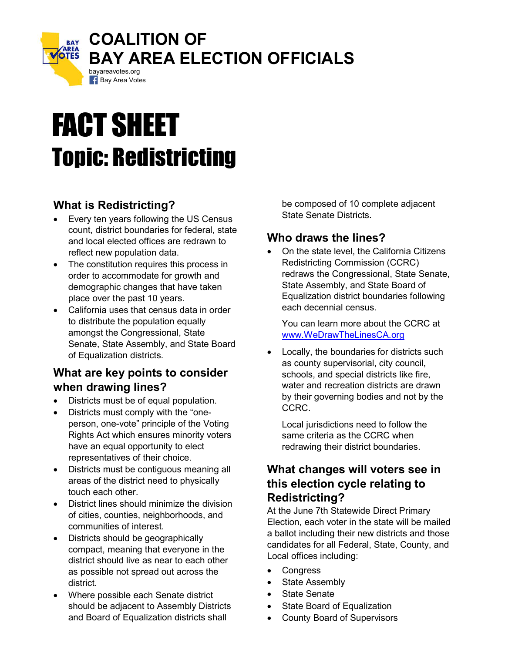

# FACT SHEET Topic: Redistricting

# What is Redistricting?

- Every ten years following the US Census count, district boundaries for federal, state and local elected offices are redrawn to reflect new population data.
- The constitution requires this process in order to accommodate for growth and demographic changes that have taken place over the past 10 years.
- California uses that census data in order to distribute the population equally amongst the Congressional, State Senate, State Assembly, and State Board of Equalization districts.

### What are key points to consider when drawing lines?

- Districts must be of equal population.
- Districts must comply with the "oneperson, one-vote" principle of the Voting Rights Act which ensures minority voters have an equal opportunity to elect representatives of their choice.
- Districts must be contiguous meaning all areas of the district need to physically touch each other.
- District lines should minimize the division of cities, counties, neighborhoods, and communities of interest.
- Districts should be geographically compact, meaning that everyone in the district should live as near to each other as possible not spread out across the district.
- Where possible each Senate district should be adjacent to Assembly Districts and Board of Equalization districts shall

be composed of 10 complete adjacent State Senate Districts.

## Who draws the lines?

 On the state level, the California Citizens Redistricting Commission (CCRC) redraws the Congressional, State Senate, State Assembly, and State Board of Equalization district boundaries following each decennial census.

You can learn more about the CCRC at www.WeDrawTheLinesCA.org

 Locally, the boundaries for districts such as county supervisorial, city council, schools, and special districts like fire, water and recreation districts are drawn by their governing bodies and not by the CCRC.

Local jurisdictions need to follow the same criteria as the CCRC when redrawing their district boundaries.

# What changes will voters see in this election cycle relating to Redistricting?

At the June 7th Statewide Direct Primary Election, each voter in the state will be mailed a ballot including their new districts and those candidates for all Federal, State, County, and Local offices including:

- **Congress**
- State Assembly
- State Senate
- State Board of Equalization
- County Board of Supervisors